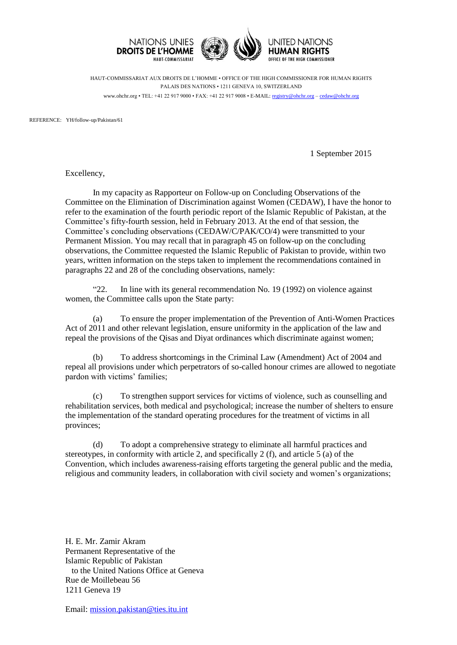

HAUT-COMMISSARIAT AUX DROITS DE L'HOMME • OFFICE OF THE HIGH COMMISSIONER FOR HUMAN RIGHTS PALAIS DES NATIONS • 1211 GENEVA 10, SWITZERLAND www.ohchr.org • TEL: +41 22 917 9000 • FAX: +41 22 917 9008 • E-MAIL: [registry@ohchr.org](mailto:registry@ohchr.org) – [cedaw@ohchr.org](mailto:cedaw@ohchr.org)

REFERENCE: YH/follow-up/Pakistan/61

1 September 2015

Excellency,

In my capacity as Rapporteur on Follow-up on Concluding Observations of the Committee on the Elimination of Discrimination against Women (CEDAW), I have the honor to refer to the examination of the fourth periodic report of the Islamic Republic of Pakistan, at the Committee's fifty-fourth session, held in February 2013. At the end of that session, the Committee's concluding observations (CEDAW/C/PAK/CO/4) were transmitted to your Permanent Mission. You may recall that in paragraph 45 on follow-up on the concluding observations, the Committee requested the Islamic Republic of Pakistan to provide, within two years, written information on the steps taken to implement the recommendations contained in paragraphs 22 and 28 of the concluding observations, namely:

"22. In line with its general recommendation No. 19 (1992) on violence against women, the Committee calls upon the State party:

(a) To ensure the proper implementation of the Prevention of Anti-Women Practices Act of 2011 and other relevant legislation, ensure uniformity in the application of the law and repeal the provisions of the Qisas and Diyat ordinances which discriminate against women;

(b) To address shortcomings in the Criminal Law (Amendment) Act of 2004 and repeal all provisions under which perpetrators of so-called honour crimes are allowed to negotiate pardon with victims' families;

(c) To strengthen support services for victims of violence, such as counselling and rehabilitation services, both medical and psychological; increase the number of shelters to ensure the implementation of the standard operating procedures for the treatment of victims in all provinces;

(d) To adopt a comprehensive strategy to eliminate all harmful practices and stereotypes, in conformity with article 2, and specifically 2 (f), and article 5 (a) of the Convention, which includes awareness-raising efforts targeting the general public and the media, religious and community leaders, in collaboration with civil society and women's organizations;

H. E. Mr. Zamir Akram Permanent Representative of the Islamic Republic of Pakistan to the United Nations Office at Geneva Rue de Moillebeau 56 1211 Geneva 19